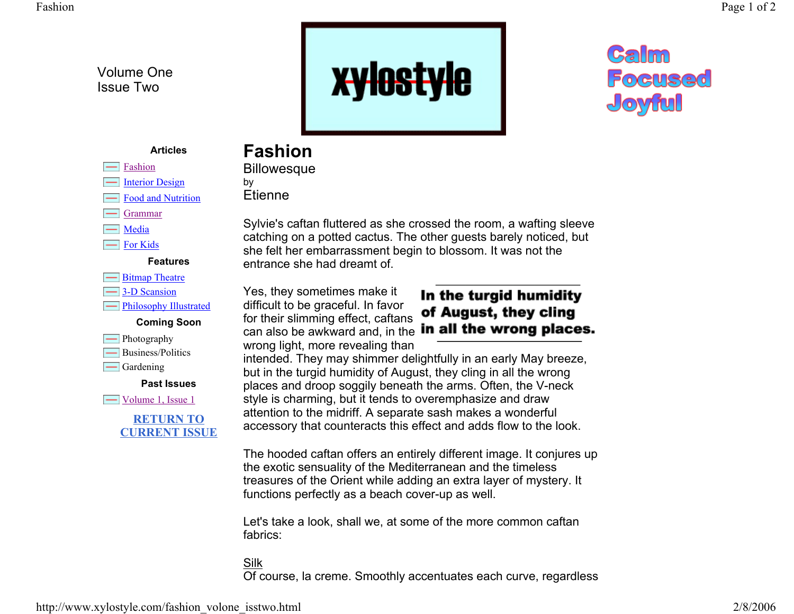Volume One Issue Two



# **Calm** Focused Joyful

#### **Articles**

# **Fashion**

**Etienne** 

**Billowesque** 

by

Fashion Interior Design

- Food and Nutrition
- Grammar
- $\equiv$  Media
- For Kids

**Features**

- **S**itmap Theatre
- **3-D** Scansion

**Film** Philosophy Illustrated





Business/Politics

 $\equiv$  Gardening

**Past Issues**

 $\equiv$  Volume 1, Issue 1



Sylvie's caftan fluttered as she crossed the room, a wafting sleeve catching on a potted cactus. The other guests barely noticed, but she felt her embarrassment begin to blossom. It was not the entrance she had dreamt of.

Yes, they sometimes make it difficult to be graceful. In favor for their slimming effect, caftans wrong light, more revealing than

In the turgid humidity of August, they cling can also be awkward and, in the **in all the wrong places.** 

intended. They may shimmer delightfully in an early May breeze, but in the turgid humidity of August, they cling in all the wrong places and droop soggily beneath the arms. Often, the V-neck style is charming, but it tends to overemphasize and draw attention to the midriff. A separate sash makes a wonderful accessory that counteracts this effect and adds flow to the look.

The hooded caftan offers an entirely different image. It conjures up the exotic sensuality of the Mediterranean and the timeless treasures of the Orient while adding an extra layer of mystery. It functions perfectly as a beach cover-up as well.

Let's take a look, shall we, at some of the more common caftan fabrics:

### SilkOf course, la creme. Smoothly accentuates each curve, regardless